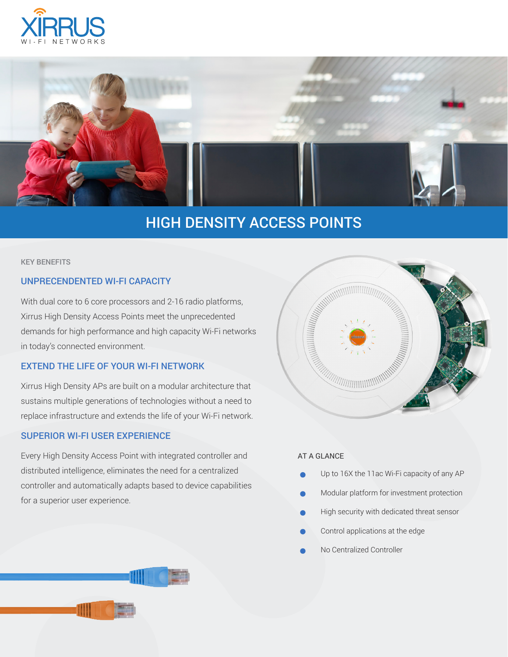



# HIGH DENSITY ACCESS POINTS

#### KEY BENEFITS

## UNPRECENDENTED WI-FI CAPACITY

With dual core to 6 core processors and 2-16 radio platforms, Xirrus High Density Access Points meet the unprecedented demands for high performance and high capacity Wi-Fi networks in today's connected environment.

## EXTEND THE LIFE OF YOUR WI-FI NETWORK

Xirrus High Density APs are built on a modular architecture that sustains multiple generations of technologies without a need to replace infrastructure and extends the life of your Wi-Fi network.

## SUPERIOR WI-FI USER EXPERIENCE

Every High Density Access Point with integrated controller and distributed intelligence, eliminates the need for a centralized controller and automatically adapts based to device capabilities for a superior user experience.



### AT A GLANCE

- Up to 16X the 11ac Wi-Fi capacity of any AP
- Modular platform for investment protection
- High security with dedicated threat sensor
- Control applications at the edge
- No Centralized Controller